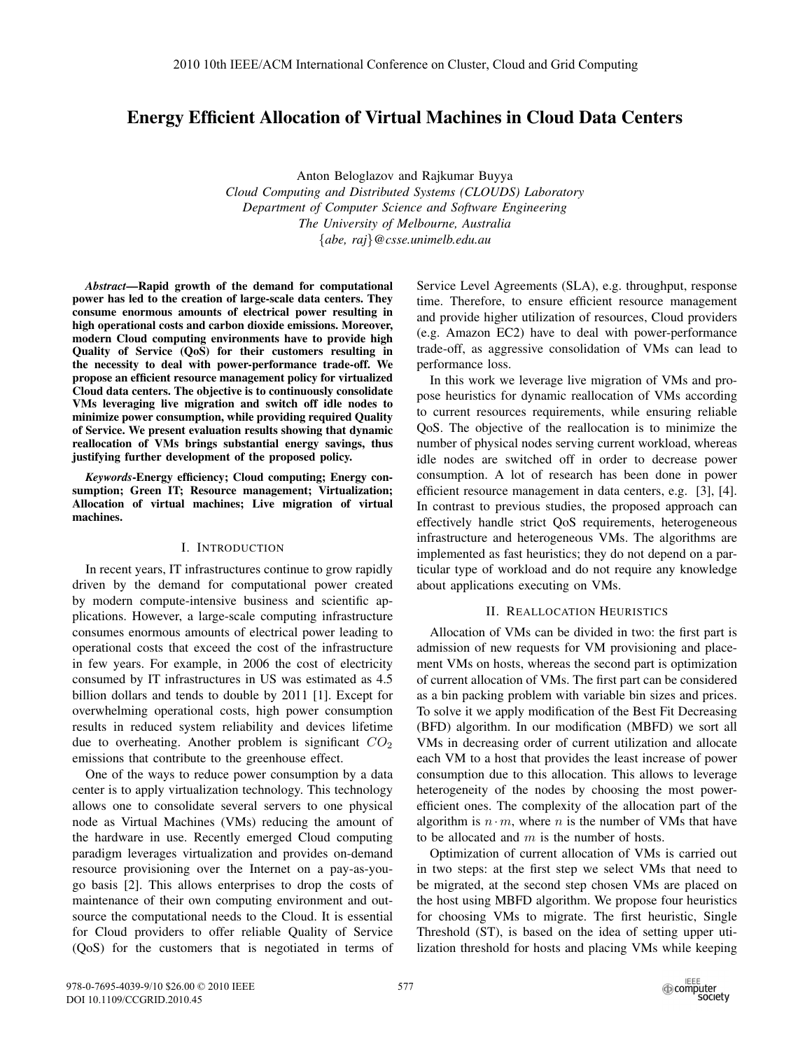# Energy Efficient Allocation of Virtual Machines in Cloud Data Centers

Anton Beloglazov and Rajkumar Buyya *Cloud Computing and Distributed Systems (CLOUDS) Laboratory Department of Computer Science and Software Engineering The University of Melbourne, Australia* {*abe, raj*}*@csse.unimelb.edu.au*

*Abstract*—Rapid growth of the demand for computational power has led to the creation of large-scale data centers. They consume enormous amounts of electrical power resulting in high operational costs and carbon dioxide emissions. Moreover, modern Cloud computing environments have to provide high Quality of Service (QoS) for their customers resulting in the necessity to deal with power-performance trade-off. We propose an efficient resource management policy for virtualized Cloud data centers. The objective is to continuously consolidate VMs leveraging live migration and switch off idle nodes to minimize power consumption, while providing required Quality of Service. We present evaluation results showing that dynamic reallocation of VMs brings substantial energy savings, thus justifying further development of the proposed policy.

*Keywords*-Energy efficiency; Cloud computing; Energy consumption; Green IT; Resource management; Virtualization; Allocation of virtual machines; Live migration of virtual machines.

## I. INTRODUCTION

In recent years, IT infrastructures continue to grow rapidly driven by the demand for computational power created by modern compute-intensive business and scientific applications. However, a large-scale computing infrastructure consumes enormous amounts of electrical power leading to operational costs that exceed the cost of the infrastructure in few years. For example, in 2006 the cost of electricity consumed by IT infrastructures in US was estimated as 4.5 billion dollars and tends to double by 2011 [1]. Except for overwhelming operational costs, high power consumption results in reduced system reliability and devices lifetime due to overheating. Another problem is significant  $CO<sub>2</sub>$ emissions that contribute to the greenhouse effect.

One of the ways to reduce power consumption by a data center is to apply virtualization technology. This technology allows one to consolidate several servers to one physical node as Virtual Machines (VMs) reducing the amount of the hardware in use. Recently emerged Cloud computing paradigm leverages virtualization and provides on-demand resource provisioning over the Internet on a pay-as-yougo basis [2]. This allows enterprises to drop the costs of maintenance of their own computing environment and outsource the computational needs to the Cloud. It is essential for Cloud providers to offer reliable Quality of Service (QoS) for the customers that is negotiated in terms of Service Level Agreements (SLA), e.g. throughput, response time. Therefore, to ensure efficient resource management and provide higher utilization of resources, Cloud providers (e.g. Amazon EC2) have to deal with power-performance trade-off, as aggressive consolidation of VMs can lead to performance loss.

In this work we leverage live migration of VMs and propose heuristics for dynamic reallocation of VMs according to current resources requirements, while ensuring reliable QoS. The objective of the reallocation is to minimize the number of physical nodes serving current workload, whereas idle nodes are switched off in order to decrease power consumption. A lot of research has been done in power efficient resource management in data centers, e.g. [3], [4]. In contrast to previous studies, the proposed approach can effectively handle strict QoS requirements, heterogeneous infrastructure and heterogeneous VMs. The algorithms are implemented as fast heuristics; they do not depend on a particular type of workload and do not require any knowledge about applications executing on VMs.

### II. REALLOCATION HEURISTICS

Allocation of VMs can be divided in two: the first part is admission of new requests for VM provisioning and placement VMs on hosts, whereas the second part is optimization of current allocation of VMs. The first part can be considered as a bin packing problem with variable bin sizes and prices. To solve it we apply modification of the Best Fit Decreasing (BFD) algorithm. In our modification (MBFD) we sort all VMs in decreasing order of current utilization and allocate each VM to a host that provides the least increase of power consumption due to this allocation. This allows to leverage heterogeneity of the nodes by choosing the most powerefficient ones. The complexity of the allocation part of the algorithm is  $n \cdot m$ , where n is the number of VMs that have to be allocated and  $m$  is the number of hosts.

Optimization of current allocation of VMs is carried out in two steps: at the first step we select VMs that need to be migrated, at the second step chosen VMs are placed on the host using MBFD algorithm. We propose four heuristics for choosing VMs to migrate. The first heuristic, Single Threshold (ST), is based on the idea of setting upper utilization threshold for hosts and placing VMs while keeping